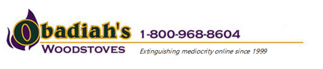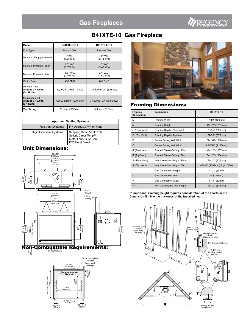# REGENCY

## **B41XTE-10 Gas Fireplace**

| Model                                             | <b>B41XTE NG10</b>        | <b>B41XTE LP10</b>       |
|---------------------------------------------------|---------------------------|--------------------------|
| <b>Fuel Type</b>                                  | Natural Gas               | Propane Gas              |
| Minimum Supply Pressure                           | 5" W.C.<br>(1.25 kPa)     | 11" W.C.<br>(2.74 kPa)   |
| Manifold Pressure - High                          | $3.5"$ W.C.<br>(0.87 kPa) | $10"$ W.C.<br>(2.49 kPa) |
| Manifold Pressure - Low                           | $1.6"$ W.C.<br>(0.40 kPa) | 6.4" W.C.<br>(1.60 kPa)  |
| Orifice Size                                      | #30 DMS                   | #49 DMS                  |
| Minimum Input<br>Altitude 0-4500 ft.<br>(0.1372m) | 30,000 BTU/h (8.79 kW)    | 29,500 BTU/h (8.65kW)    |
| Maximum Input<br>Altitude 0-4500 ft.<br>(0.1372m) | 42,500 BTU/h (12.45 kW)   | 37,500 BTU/h (10.99 kW)  |
| <b>Vent Sizing</b>                                | 5" Inner / 8" Outer       | 5" Inner / 8" Outer      |

| <b>Approved Venting Systems</b> |                                                                                                     |  |
|---------------------------------|-----------------------------------------------------------------------------------------------------|--|
| <b>Flex Vent Systems:</b>       | FPI AstroCap™ Flex Vent                                                                             |  |
| Rigid Pipe Vent Systems:        | Simpson Direct Vent Pro®<br>Selkirk Direct-Temp™<br>Metal-Fab® Sure Seal<br><b>ICC Excel Direct</b> |  |

## Unit Dimensions:



Min. 3-1/2<br>(89mm)

47-1/4" (1200mm) Framing

 $Min. 3-1/2'$ 



## Framing Dimensions:

| Framing<br><b>Dimensions</b> | <b>Description</b>            | <b>B41XTE-10</b>              |
|------------------------------|-------------------------------|-------------------------------|
| M                            | <b>Framing Width</b>          | 47-1/4"(1200mm)               |
| N                            | <b>Framing Height</b>         | 49-1/2" (1257mm)              |
| O (Rear Vent)                | Framing Depth - Rear Vent     | 23-1/4" (591mm)               |
| O (Top Vent)                 | Framing Depth - Top Vent      | 22-5/8" (575mm)               |
| P                            | Corner Facing Wall Width      | 60-1/4" (1530mm)              |
| Q                            | Corner Facing Wall Width      | 85-3/16" (2163mm)             |
| R (Rear Vent)                | Framed Chase Ceiling - Rear   | 49-1/2" (1257mm)              |
| R (Top Vent)                 | Framed Chase Ceiling - Top    | 54-1/2" (1384mm)              |
| S (Rear Vent)                | Vent Centerline Height - Rear | 28-1/2" (724mm)               |
| S (Top Vent)                 | Vent Centerline Height - Top  | 47-1/2" (1207mm) Rigid / Flex |
| T                            | <b>Gas Connection Height</b>  | 1-1/2" (38mm)                 |
| U                            | <b>Gas Connection Inset</b>   | 5" (127mm)                    |
| V                            | <b>Gas Connection Width</b>   | 3-1/4" (82mm)                 |
| W                            | Non-Combustible Top Height    | 13-1/2" (343mm)               |

**\*\* Important: Framing height requires consideration of the hearth depth. Dimension N = N + the thickness of the installed hearth.**

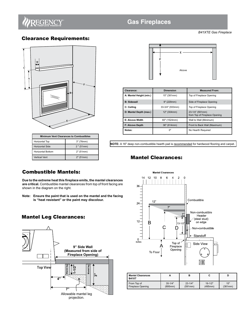

*B41XTE Gas Fireplace*

## Clearance Requirements:



| <b>Minimum Vent Clearances to Combustibles</b> |              |
|------------------------------------------------|--------------|
| Horizontal Top                                 | 3" (76mm)    |
| <b>Horizontal Side</b>                         | $2$ " (51mm) |
| <b>Horizontal Bottom</b>                       | 2" (51mm)    |
| <b>Vertical Vent</b>                           | 2" (51mm)    |



| Clearance:              | <b>Dimension</b> | <b>Measured From:</b>                            |
|-------------------------|------------------|--------------------------------------------------|
| A: Mantel Height (min.) | 15" (381mm)      | Top of Fireplace Opening                         |
| <b>B: Sidewall</b>      | 9" (229mm)       | Side of Fireplace Opening                        |
| C: Ceiling              | 33-3/4" (933mm)  | Top of Fireplace Opening                         |
| D: Mantel Depth (max.)  | 12" (304mm)      | 23-1/4" (591mm)<br>from Top of Fireplace Opening |
| E: Alcove Width         | 60" (1524mm)     | Wall to Wall (Minimum)                           |
| <b>F: Alcove Depth</b>  | 36" (914mm)      | Front to Back Wall (Maximum)                     |
| Notes:                  | 0"               | No Hearth Required                               |

**NOTE:** A 16" deep non-combustible hearth pad is recommended for hardwood flooring and carpet.

### Mantel Clearances:

## Combustible Mantels:

**Due to the extreme heat this fireplace emits, the mantel clearances are critical.** Combustible mantel clearances from top of front facing are shown in the diagram on the right.

**Note: Ensure the paint that is used on the mantel and the facing is "heat resistant" or the paint may discolour.**

## Mantel Leg Clearances:





| <b>Mantel Clearances</b><br><b>B41XT</b> |             | в           |             | D       |
|------------------------------------------|-------------|-------------|-------------|---------|
| From Top of                              | $35 - 1/4"$ | $23 - 1/4"$ | $19 - 1/2"$ | 15"     |
| Fireplace Opening                        | (895mm)     | (591mm)     | (495mm)     | (381mm) |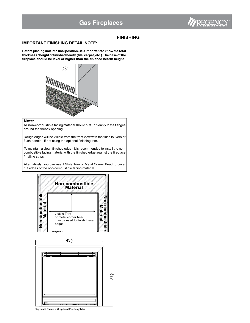

#### **FINISHING**

### **IMPORTANT FINISHING DETAIL NOTE:**

**Before placing unit into final position - it is important to know the total thickness / height of finished hearth (tile, carpet, etc.) The base of the fireplace should be level or higher than the finished hearth height.**



#### **Note:**

All non-combustible facing material should butt up cleanly to the flanges around the firebox opening.

Rough edges will be visible from the front view with the flush louvers or flush panels - if not using the optional finishing trim.

To maintain a clean finished edge - it is recommended to install the noncombustible facing material with the finished edge against the fireplace / nailing strips.

Alternatively, you can use J Style Trim or Metal Corner Bead to cover cut edges of the non-combustible facing material.





**Diagram 3: Shown with optional Finishing Trim**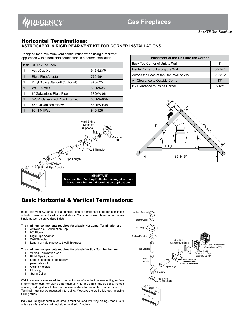

*B41XTE Gas Fireplace*

### Horizontal Terminations: **ASTROCAP XL & RIGID REAR VENT KIT FOR CORNER INSTALLATIONS**

Designed for a minimum vent configuration when using a rear vent application with a horizontal termination in a corner installation.

| Kit# $946-612$ Includes:         |           |
|----------------------------------|-----------|
| AstroCap XL                      | 946-623/P |
| Rigid Pipe Adaptor               | 770-994   |
| Vinyl Siding Standoff (Optional) | 946-625   |
| <b>Wall Thimble</b>              | 58DVA-WT  |
| 6" Galvanized Rigid Pipe         | 58DVA-06  |
| 8-1/2" Galvanized Pipe Extension | 58DVA-08A |
| 45° Galvanized Elbow             | 58DVA-E45 |
| 90ml MillPac                     | 948-128   |

| <b>Placement of the Unit into the Corner</b> |             |
|----------------------------------------------|-------------|
| Back Top Corner of Unit to Wall              | 3"          |
| Inside Corner out along the Wall             | $60 - 1/4"$ |
| Across the Face of the Unit, Wall to Wall    | 85-3/16"    |
| A - Clearance to Outside Corner              | 13"         |
| B - Clearance to Inside Corner               | $5 - 1/2"$  |





## Basic Horizontal & Vertical Terminations:

Rigid Pipe Vent Systems offer a complete line of component parts for installation of both horizontal and vertical installations. Many items are offered in decorative black, as well as galvanized finish.

#### **The minimum components required for a basic Horizontal Termination are:**

- 1 AstroCap XL Termination Cap<br>1 90° Elbow
- 1 90° Elbow
- 1 Rigid Pipe Adaptor
- 1 Wall Thimble
- 1 Length of rigid pipe to suit wall thickness

#### **The minimum components required for a basic Vertical Termination are:** 1 Vertical Termination Cap

- 
- 1 Rigid Pipe Adaptor
- 1 Lengths of pipe to adequately
- penetrate roof<br>1 Ceiling Firesto Ceiling Firestop
- 1 Flashing
- 1 Storm Collar
- Wall thickness is measured from the back standoffs to the inside mounting surface of termination cap. For siding other than vinyl, furring strips may be used, instead of a vinyl siding standoff, to create a level surface to mount the vent terminal. The Terminal must not be recessed into siding. Measure the wall thickness including furring strips.

If a Vinyl Siding Standoff is required (it must be used with vinyl siding), measure to outside surface of wall without siding and add 2 inches.

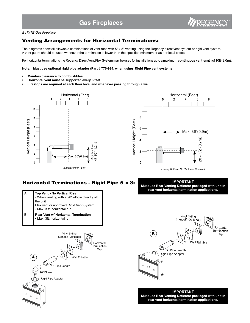#### *B41XTE Gas Fireplace*

## Venting Arrangements for Horizontal Terminations:

The diagrams show all allowable combinations of vent runs with 5" x 8" venting using the Regency direct vent system or rigid vent system. A vent guard should be used whenever the termination is lower than the specified minimum or as per local codes.

For horizontal terminations the Regency Direct Vent Flex System may be used for installations upto a maximum **continuous** vent length of 10ft (3.0m).

**Note: Must use optional rigid pipe adaptor (Part # 770-994. when using Rigid Pipe vent systems.**

- **Maintain clearance to combustibles.**
- **Horizontal vent must be supported every 3 feet.**
- **Firestops are required at each floor level and whenever passing through a wall.**





### Horizontal Terminations - Rigid Pipe 5 x 8:

| Top Vent - No Vertical Rise<br>• When venting with a 90° elbow directly off<br>the unit<br>Flex vent or approved Rigid Vent System<br>• Max. 3 ft. horizontal run |
|-------------------------------------------------------------------------------------------------------------------------------------------------------------------|
| Rear Vent w/ Horizontal Termination<br>· Max. 3ft. horizontal run                                                                                                 |

**IMPORTANT Must use Rear Venting Deflector packaged with unit in rear vent horizontal termination applications.**





**IMPORTANT Must use Rear Venting Deflector packaged with unit in rear vent horizontal termination applications.**



REGENC